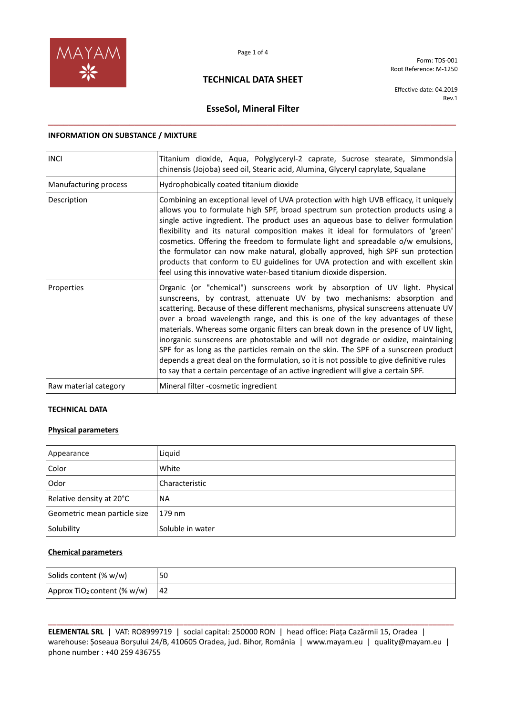

Form: TDS-001 Root Reference: M-1250

### **TECHNICAL DATA SHEET**

Effective date: 04.2019 Rev.1

# **EsseSol, Mineral Filter \_\_\_\_\_\_\_\_\_\_\_\_\_\_\_\_\_\_\_\_\_\_\_\_\_\_\_\_\_\_\_\_\_\_\_\_\_\_\_\_\_\_\_\_\_\_\_\_\_\_\_\_\_\_\_\_\_\_\_\_\_\_\_\_\_\_\_\_\_\_\_\_\_\_\_\_\_\_\_\_**

#### **INFORMATION ON SUBSTANCE / MIXTURE**

| <b>INCI</b>           | Titanium dioxide, Aqua, Polyglyceryl-2 caprate, Sucrose stearate, Simmondsia<br>chinensis (Jojoba) seed oil, Stearic acid, Alumina, Glyceryl caprylate, Squalane                                                                                                                                                                                                                                                                                                                                                                                                                                                                                                                                                                                                                  |  |  |  |  |  |  |  |
|-----------------------|-----------------------------------------------------------------------------------------------------------------------------------------------------------------------------------------------------------------------------------------------------------------------------------------------------------------------------------------------------------------------------------------------------------------------------------------------------------------------------------------------------------------------------------------------------------------------------------------------------------------------------------------------------------------------------------------------------------------------------------------------------------------------------------|--|--|--|--|--|--|--|
| Manufacturing process | Hydrophobically coated titanium dioxide                                                                                                                                                                                                                                                                                                                                                                                                                                                                                                                                                                                                                                                                                                                                           |  |  |  |  |  |  |  |
| Description           | Combining an exceptional level of UVA protection with high UVB efficacy, it uniquely<br>allows you to formulate high SPF, broad spectrum sun protection products using a<br>single active ingredient. The product uses an aqueous base to deliver formulation<br>flexibility and its natural composition makes it ideal for formulators of 'green'<br>cosmetics. Offering the freedom to formulate light and spreadable o/w emulsions,<br>the formulator can now make natural, globally approved, high SPF sun protection<br>products that conform to EU guidelines for UVA protection and with excellent skin<br>feel using this innovative water-based titanium dioxide dispersion.                                                                                             |  |  |  |  |  |  |  |
| Properties            | Organic (or "chemical") sunscreens work by absorption of UV light. Physical<br>sunscreens, by contrast, attenuate UV by two mechanisms: absorption and<br>scattering. Because of these different mechanisms, physical sunscreens attenuate UV<br>over a broad wavelength range, and this is one of the key advantages of these<br>materials. Whereas some organic filters can break down in the presence of UV light,<br>inorganic sunscreens are photostable and will not degrade or oxidize, maintaining<br>SPF for as long as the particles remain on the skin. The SPF of a sunscreen product<br>depends a great deal on the formulation, so it is not possible to give definitive rules<br>to say that a certain percentage of an active ingredient will give a certain SPF. |  |  |  |  |  |  |  |
| Raw material category | Mineral filter -cosmetic ingredient                                                                                                                                                                                                                                                                                                                                                                                                                                                                                                                                                                                                                                                                                                                                               |  |  |  |  |  |  |  |

### **TECHNICAL DATA**

### **Physical parameters**

| Appearance                   | Liquid           |
|------------------------------|------------------|
| Color                        | White            |
| Odor                         | Characteristic   |
| Relative density at 20°C     | <b>NA</b>        |
| Geometric mean particle size | 179 nm           |
| Solubility                   | Soluble in water |

#### **Chemical parameters**

| Solids content (% w/w)                  | 50 |
|-----------------------------------------|----|
| Approx TiO <sub>2</sub> content (% w/w) | 42 |

**\_\_\_\_\_\_\_\_\_\_\_\_\_\_\_\_\_\_\_\_\_\_\_\_\_\_\_\_\_\_\_\_\_\_\_\_\_\_\_\_\_\_\_\_\_\_\_\_\_\_\_\_\_\_\_\_\_\_\_\_\_\_\_\_\_\_\_\_\_\_\_\_\_\_\_\_\_\_\_\_\_\_\_\_\_\_\_\_\_\_\_\_\_\_\_\_ ELEMENTAL SRL** | VAT: RO8999719 | social capital: 250000 RON | head office: Piața Cazărmii 15, Oradea | warehouse: Șoseaua Borșului 24/B, 410605 Oradea, jud. Bihor, România | www.mayam.eu | quality@mayam.eu | phone number : +40 259 436755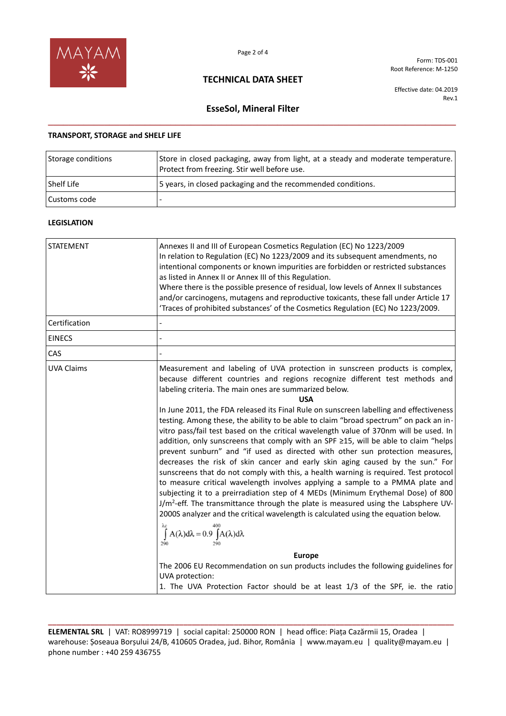

### **TECHNICAL DATA SHEET**

Form: TDS-001 Root Reference: M-1250

Effective date: 04.2019 Rev.1

# **EsseSol, Mineral Filter \_\_\_\_\_\_\_\_\_\_\_\_\_\_\_\_\_\_\_\_\_\_\_\_\_\_\_\_\_\_\_\_\_\_\_\_\_\_\_\_\_\_\_\_\_\_\_\_\_\_\_\_\_\_\_\_\_\_\_\_\_\_\_\_\_\_\_\_\_\_\_\_\_\_\_\_\_\_\_\_**

#### **TRANSPORT, STORAGE and SHELF LIFE**

| Storage conditions | Store in closed packaging, away from light, at a steady and moderate temperature.<br>Protect from freezing. Stir well before use. |
|--------------------|-----------------------------------------------------------------------------------------------------------------------------------|
| <b>Shelf Life</b>  | 5 years, in closed packaging and the recommended conditions.                                                                      |
| Customs code       |                                                                                                                                   |

#### **LEGISLATION**

| <b>STATEMENT</b>  | Annexes II and III of European Cosmetics Regulation (EC) No 1223/2009<br>In relation to Regulation (EC) No 1223/2009 and its subsequent amendments, no<br>intentional components or known impurities are forbidden or restricted substances<br>as listed in Annex II or Annex III of this Regulation.<br>Where there is the possible presence of residual, low levels of Annex II substances<br>and/or carcinogens, mutagens and reproductive toxicants, these fall under Article 17<br>'Traces of prohibited substances' of the Cosmetics Regulation (EC) No 1223/2009.                                                                                                                                                                                                                                                                                           |  |  |  |  |
|-------------------|--------------------------------------------------------------------------------------------------------------------------------------------------------------------------------------------------------------------------------------------------------------------------------------------------------------------------------------------------------------------------------------------------------------------------------------------------------------------------------------------------------------------------------------------------------------------------------------------------------------------------------------------------------------------------------------------------------------------------------------------------------------------------------------------------------------------------------------------------------------------|--|--|--|--|
| Certification     |                                                                                                                                                                                                                                                                                                                                                                                                                                                                                                                                                                                                                                                                                                                                                                                                                                                                    |  |  |  |  |
| <b>EINECS</b>     |                                                                                                                                                                                                                                                                                                                                                                                                                                                                                                                                                                                                                                                                                                                                                                                                                                                                    |  |  |  |  |
| CAS               |                                                                                                                                                                                                                                                                                                                                                                                                                                                                                                                                                                                                                                                                                                                                                                                                                                                                    |  |  |  |  |
| <b>UVA Claims</b> | Measurement and labeling of UVA protection in sunscreen products is complex,<br>because different countries and regions recognize different test methods and<br>labeling criteria. The main ones are summarized below.<br><b>USA</b><br>In June 2011, the FDA released its Final Rule on sunscreen labelling and effectiveness<br>testing. Among these, the ability to be able to claim "broad spectrum" on pack an in-<br>vitro pass/fail test based on the critical wavelength value of 370nm will be used. In<br>addition, only sunscreens that comply with an SPF ≥15, will be able to claim "helps<br>prevent sunburn" and "if used as directed with other sun protection measures,<br>decreases the risk of skin cancer and early skin aging caused by the sun." For<br>sunscreens that do not comply with this, a health warning is required. Test protocol |  |  |  |  |
|                   | to measure critical wavelength involves applying a sample to a PMMA plate and<br>subjecting it to a preirradiation step of 4 MEDs (Minimum Erythemal Dose) of 800<br>$J/m^2$ -eff. The transmittance through the plate is measured using the Labsphere UV-<br>2000S analyzer and the critical wavelength is calculated using the equation below.                                                                                                                                                                                                                                                                                                                                                                                                                                                                                                                   |  |  |  |  |
|                   | $\int A(\lambda)d\lambda = 0.9 \int A(\lambda)d\lambda$<br>290                                                                                                                                                                                                                                                                                                                                                                                                                                                                                                                                                                                                                                                                                                                                                                                                     |  |  |  |  |
|                   | <b>Europe</b>                                                                                                                                                                                                                                                                                                                                                                                                                                                                                                                                                                                                                                                                                                                                                                                                                                                      |  |  |  |  |
|                   | The 2006 EU Recommendation on sun products includes the following guidelines for<br>UVA protection:                                                                                                                                                                                                                                                                                                                                                                                                                                                                                                                                                                                                                                                                                                                                                                |  |  |  |  |
|                   | 1. The UVA Protection Factor should be at least 1/3 of the SPF, ie. the ratio                                                                                                                                                                                                                                                                                                                                                                                                                                                                                                                                                                                                                                                                                                                                                                                      |  |  |  |  |

**\_\_\_\_\_\_\_\_\_\_\_\_\_\_\_\_\_\_\_\_\_\_\_\_\_\_\_\_\_\_\_\_\_\_\_\_\_\_\_\_\_\_\_\_\_\_\_\_\_\_\_\_\_\_\_\_\_\_\_\_\_\_\_\_\_\_\_\_\_\_\_\_\_\_\_\_\_\_\_\_\_\_\_\_\_\_\_\_\_\_\_\_\_\_\_\_ ELEMENTAL SRL** | VAT: RO8999719 | social capital: 250000 RON | head office: Piața Cazărmii 15, Oradea | warehouse: Șoseaua Borșului 24/B, 410605 Oradea, jud. Bihor, România | www.mayam.eu | quality@mayam.eu | phone number : +40 259 436755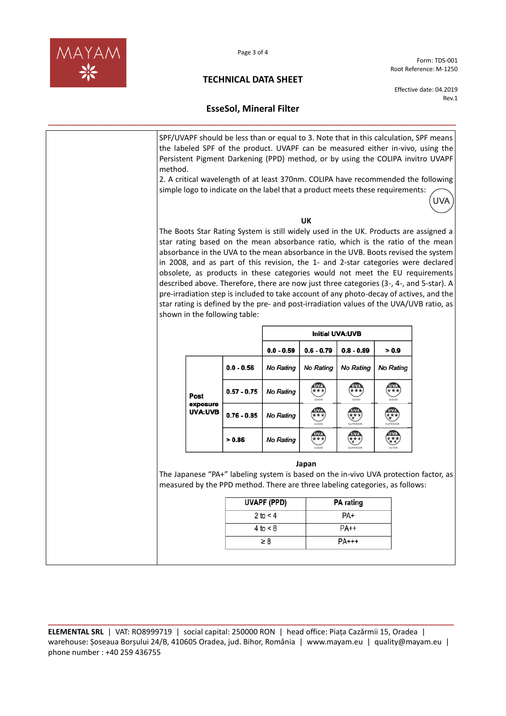

Page 3 of 4

**TECHNICAL DATA SHEET**

Form: TDS-001 Root Reference: M-1250

Effective date: 04.2019 Rev.1

# **EsseSol, Mineral Filter \_\_\_\_\_\_\_\_\_\_\_\_\_\_\_\_\_\_\_\_\_\_\_\_\_\_\_\_\_\_\_\_\_\_\_\_\_\_\_\_\_\_\_\_\_\_\_\_\_\_\_\_\_\_\_\_\_\_\_\_\_\_\_\_\_\_\_\_\_\_\_\_\_\_\_\_\_\_\_\_**

| method. |                  |                                                                               |                    |                       |                           |                  | SPF/UVAPF should be less than or equal to 3. Note that in this calculation, SPF means<br>the labeled SPF of the product. UVAPF can be measured either in-vivo, using the<br>Persistent Pigment Darkening (PPD) method, or by using the COLIPA invitro UVAPF                                                                                                                                                                                                                                                                                                                                                                                                                                                       |  |
|---------|------------------|-------------------------------------------------------------------------------|--------------------|-----------------------|---------------------------|------------------|-------------------------------------------------------------------------------------------------------------------------------------------------------------------------------------------------------------------------------------------------------------------------------------------------------------------------------------------------------------------------------------------------------------------------------------------------------------------------------------------------------------------------------------------------------------------------------------------------------------------------------------------------------------------------------------------------------------------|--|
|         |                  | simple logo to indicate on the label that a product meets these requirements: |                    |                       |                           |                  | 2. A critical wavelength of at least 370nm. COLIPA have recommended the following<br>UVA                                                                                                                                                                                                                                                                                                                                                                                                                                                                                                                                                                                                                          |  |
|         |                  |                                                                               |                    | UK                    |                           |                  |                                                                                                                                                                                                                                                                                                                                                                                                                                                                                                                                                                                                                                                                                                                   |  |
|         |                  | shown in the following table:                                                 |                    |                       |                           |                  | The Boots Star Rating System is still widely used in the UK. Products are assigned a<br>star rating based on the mean absorbance ratio, which is the ratio of the mean<br>absorbance in the UVA to the mean absorbance in the UVB. Boots revised the system<br>in 2008, and as part of this revision, the 1- and 2-star categories were declared<br>obsolete, as products in these categories would not meet the EU requirements<br>described above. Therefore, there are now just three categories (3-, 4-, and 5-star). A<br>pre-irradiation step is included to take account of any photo-decay of actives, and the<br>star rating is defined by the pre- and post-irradiation values of the UVA/UVB ratio, as |  |
|         |                  |                                                                               |                    |                       | <b>Initial UVA:UVB</b>    |                  |                                                                                                                                                                                                                                                                                                                                                                                                                                                                                                                                                                                                                                                                                                                   |  |
|         |                  |                                                                               | $0.0 - 0.59$       | $0.6 - 0.79$          | $0.8 - 0.89$              | > 0.9            |                                                                                                                                                                                                                                                                                                                                                                                                                                                                                                                                                                                                                                                                                                                   |  |
|         |                  | $0.0 - 0.56$                                                                  | <b>No Rating</b>   | <b>No Rating</b>      | <b>No Rating</b>          | <b>No Rating</b> |                                                                                                                                                                                                                                                                                                                                                                                                                                                                                                                                                                                                                                                                                                                   |  |
|         | Post<br>exposure | $0.57 - 0.75$                                                                 | <b>No Rating</b>   | $\frac{1}{x}$<br>COOD | $\frac{0}{x}$<br>COOD     | $\frac{0}{x}$    |                                                                                                                                                                                                                                                                                                                                                                                                                                                                                                                                                                                                                                                                                                                   |  |
|         | UVA:UVB          |                                                                               | $0.76 - 0.85$      | No Rating             | 0000                      | 经<br>SUPERIOR    | $\overline{\mathbf{t}^{\star}_{\star}}$<br>SUPERIOR                                                                                                                                                                                                                                                                                                                                                                                                                                                                                                                                                                                                                                                               |  |
|         |                  | > 0.86                                                                        | No Rating          | $\frac{1}{x}$         | $\frac{1}{2}$<br>SUPERIOR | 四枝               |                                                                                                                                                                                                                                                                                                                                                                                                                                                                                                                                                                                                                                                                                                                   |  |
|         |                  | measured by the PPD method. There are three labeling categories, as follows:  |                    | Japan                 |                           |                  | The Japanese "PA+" labeling system is based on the in-vivo UVA protection factor, as                                                                                                                                                                                                                                                                                                                                                                                                                                                                                                                                                                                                                              |  |
|         |                  |                                                                               | <b>UVAPF (PPD)</b> |                       | <b>PA</b> rating          |                  |                                                                                                                                                                                                                                                                                                                                                                                                                                                                                                                                                                                                                                                                                                                   |  |
|         |                  |                                                                               |                    |                       | PA+                       |                  |                                                                                                                                                                                                                                                                                                                                                                                                                                                                                                                                                                                                                                                                                                                   |  |
|         |                  |                                                                               | 2 to $<$ 4         |                       |                           |                  |                                                                                                                                                                                                                                                                                                                                                                                                                                                                                                                                                                                                                                                                                                                   |  |
|         |                  |                                                                               | 4 to < 8           |                       | PA++                      |                  |                                                                                                                                                                                                                                                                                                                                                                                                                                                                                                                                                                                                                                                                                                                   |  |

**\_\_\_\_\_\_\_\_\_\_\_\_\_\_\_\_\_\_\_\_\_\_\_\_\_\_\_\_\_\_\_\_\_\_\_\_\_\_\_\_\_\_\_\_\_\_\_\_\_\_\_\_\_\_\_\_\_\_\_\_\_\_\_\_\_\_\_\_\_\_\_\_\_\_\_\_\_\_\_\_\_\_\_\_\_\_\_\_\_\_\_\_\_\_\_\_ ELEMENTAL SRL** | VAT: RO8999719 | social capital: 250000 RON | head office: Piața Cazărmii 15, Oradea | warehouse: Șoseaua Borșului 24/B, 410605 Oradea, jud. Bihor, România | www.mayam.eu | quality@mayam.eu | phone number : +40 259 436755